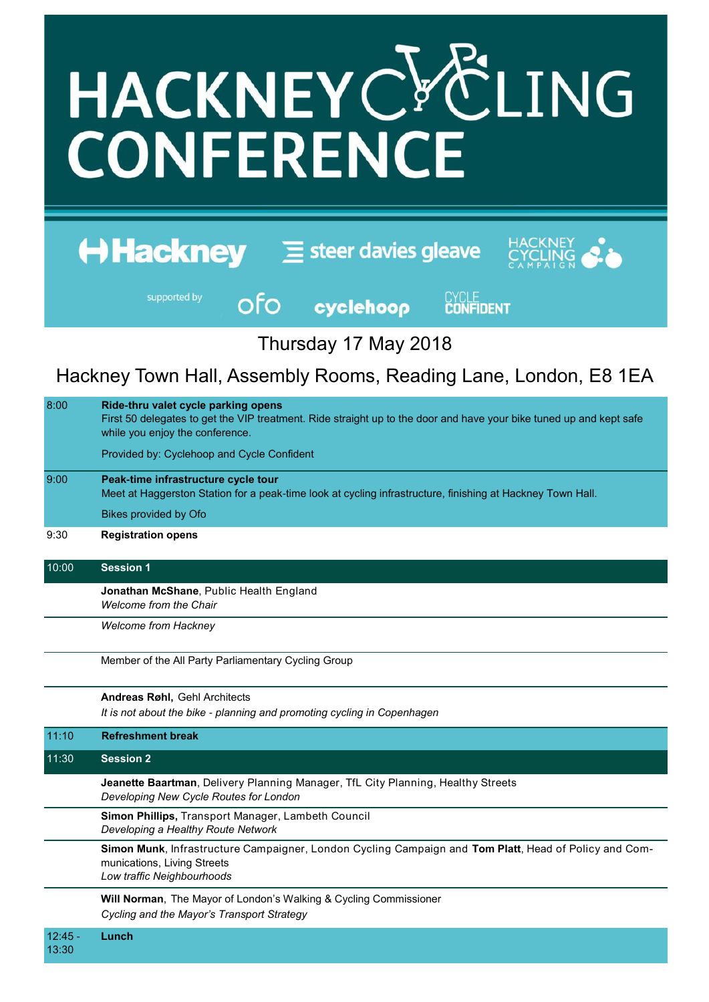## HACKNEYCYCLING **CONFERENCE**

| <b>Hackney</b> | $\equiv$ steer davies gleave | HACKNEY<br>CYCLING |
|----------------|------------------------------|--------------------|
|                |                              |                    |

supported by

ofo

cyclehoop

**CYCLE**<br>**CONFIDENT** 

Thursday 17 May 2018

Hackney Town Hall, Assembly Rooms, Reading Lane, London, E8 1EA

| 8:00               | Ride-thru valet cycle parking opens<br>First 50 delegates to get the VIP treatment. Ride straight up to the door and have your bike tuned up and kept safe<br>while you enjoy the conference. |  |  |  |
|--------------------|-----------------------------------------------------------------------------------------------------------------------------------------------------------------------------------------------|--|--|--|
|                    | Provided by: Cyclehoop and Cycle Confident                                                                                                                                                    |  |  |  |
| 9:00               | Peak-time infrastructure cycle tour<br>Meet at Haggerston Station for a peak-time look at cycling infrastructure, finishing at Hackney Town Hall.                                             |  |  |  |
|                    | <b>Bikes provided by Ofo</b>                                                                                                                                                                  |  |  |  |
| 9:30               | <b>Registration opens</b>                                                                                                                                                                     |  |  |  |
| 10:00              | <b>Session 1</b>                                                                                                                                                                              |  |  |  |
|                    | Jonathan McShane, Public Health England<br>Welcome from the Chair                                                                                                                             |  |  |  |
|                    | <b>Welcome from Hackney</b>                                                                                                                                                                   |  |  |  |
|                    | Member of the All Party Parliamentary Cycling Group                                                                                                                                           |  |  |  |
|                    | Andreas Røhl, Gehl Architects                                                                                                                                                                 |  |  |  |
|                    | It is not about the bike - planning and promoting cycling in Copenhagen                                                                                                                       |  |  |  |
| 11:10              | <b>Refreshment break</b>                                                                                                                                                                      |  |  |  |
| 11:30              | <b>Session 2</b>                                                                                                                                                                              |  |  |  |
|                    | Jeanette Baartman, Delivery Planning Manager, TfL City Planning, Healthy Streets<br>Developing New Cycle Routes for London                                                                    |  |  |  |
|                    | Simon Phillips, Transport Manager, Lambeth Council<br>Developing a Healthy Route Network                                                                                                      |  |  |  |
|                    | Simon Munk, Infrastructure Campaigner, London Cycling Campaign and Tom Platt, Head of Policy and Com-<br>munications, Living Streets<br>Low traffic Neighbourhoods                            |  |  |  |
|                    | Will Norman, The Mayor of London's Walking & Cycling Commissioner<br>Cycling and the Mayor's Transport Strategy                                                                               |  |  |  |
| $12:45 -$<br>13:30 | Lunch                                                                                                                                                                                         |  |  |  |